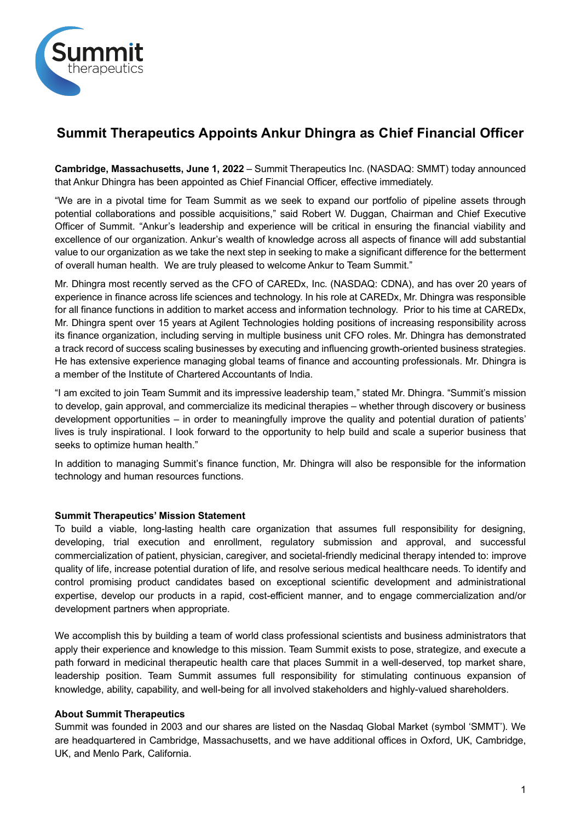

# **Summit Therapeutics Appoints Ankur Dhingra as Chief Financial Officer**

**Cambridge, Massachusetts, June 1, 2022** – Summit Therapeutics Inc. (NASDAQ: SMMT) today announced that Ankur Dhingra has been appointed as Chief Financial Officer, effective immediately.

"We are in a pivotal time for Team Summit as we seek to expand our portfolio of pipeline assets through potential collaborations and possible acquisitions," said Robert W. Duggan, Chairman and Chief Executive Officer of Summit. "Ankur's leadership and experience will be critical in ensuring the financial viability and excellence of our organization. Ankur's wealth of knowledge across all aspects of finance will add substantial value to our organization as we take the next step in seeking to make a significant difference for the betterment of overall human health. We are truly pleased to welcome Ankur to Team Summit."

Mr. Dhingra most recently served as the CFO of CAREDx, Inc. (NASDAQ: CDNA), and has over 20 years of experience in finance across life sciences and technology. In his role at CAREDx, Mr. Dhingra was responsible for all finance functions in addition to market access and information technology. Prior to his time at CAREDx, Mr. Dhingra spent over 15 years at Agilent Technologies holding positions of increasing responsibility across its finance organization, including serving in multiple business unit CFO roles. Mr. Dhingra has demonstrated a track record of success scaling businesses by executing and influencing growth-oriented business strategies. He has extensive experience managing global teams of finance and accounting professionals. Mr. Dhingra is a member of the Institute of Chartered Accountants of India.

"I am excited to join Team Summit and its impressive leadership team," stated Mr. Dhingra. "Summit's mission to develop, gain approval, and commercialize its medicinal therapies – whether through discovery or business development opportunities – in order to meaningfully improve the quality and potential duration of patients' lives is truly inspirational. I look forward to the opportunity to help build and scale a superior business that seeks to optimize human health."

In addition to managing Summit's finance function, Mr. Dhingra will also be responsible for the information technology and human resources functions.

### **Summit Therapeutics' Mission Statement**

To build a viable, long-lasting health care organization that assumes full responsibility for designing, developing, trial execution and enrollment, regulatory submission and approval, and successful commercialization of patient, physician, caregiver, and societal-friendly medicinal therapy intended to: improve quality of life, increase potential duration of life, and resolve serious medical healthcare needs. To identify and control promising product candidates based on exceptional scientific development and administrational expertise, develop our products in a rapid, cost-efficient manner, and to engage commercialization and/or development partners when appropriate.

We accomplish this by building a team of world class professional scientists and business administrators that apply their experience and knowledge to this mission. Team Summit exists to pose, strategize, and execute a path forward in medicinal therapeutic health care that places Summit in a well-deserved, top market share, leadership position. Team Summit assumes full responsibility for stimulating continuous expansion of knowledge, ability, capability, and well-being for all involved stakeholders and highly-valued shareholders.

### **About Summit Therapeutics**

Summit was founded in 2003 and our shares are listed on the Nasdaq Global Market (symbol 'SMMT'). We are headquartered in Cambridge, Massachusetts, and we have additional offices in Oxford, UK, Cambridge, UK, and Menlo Park, California.